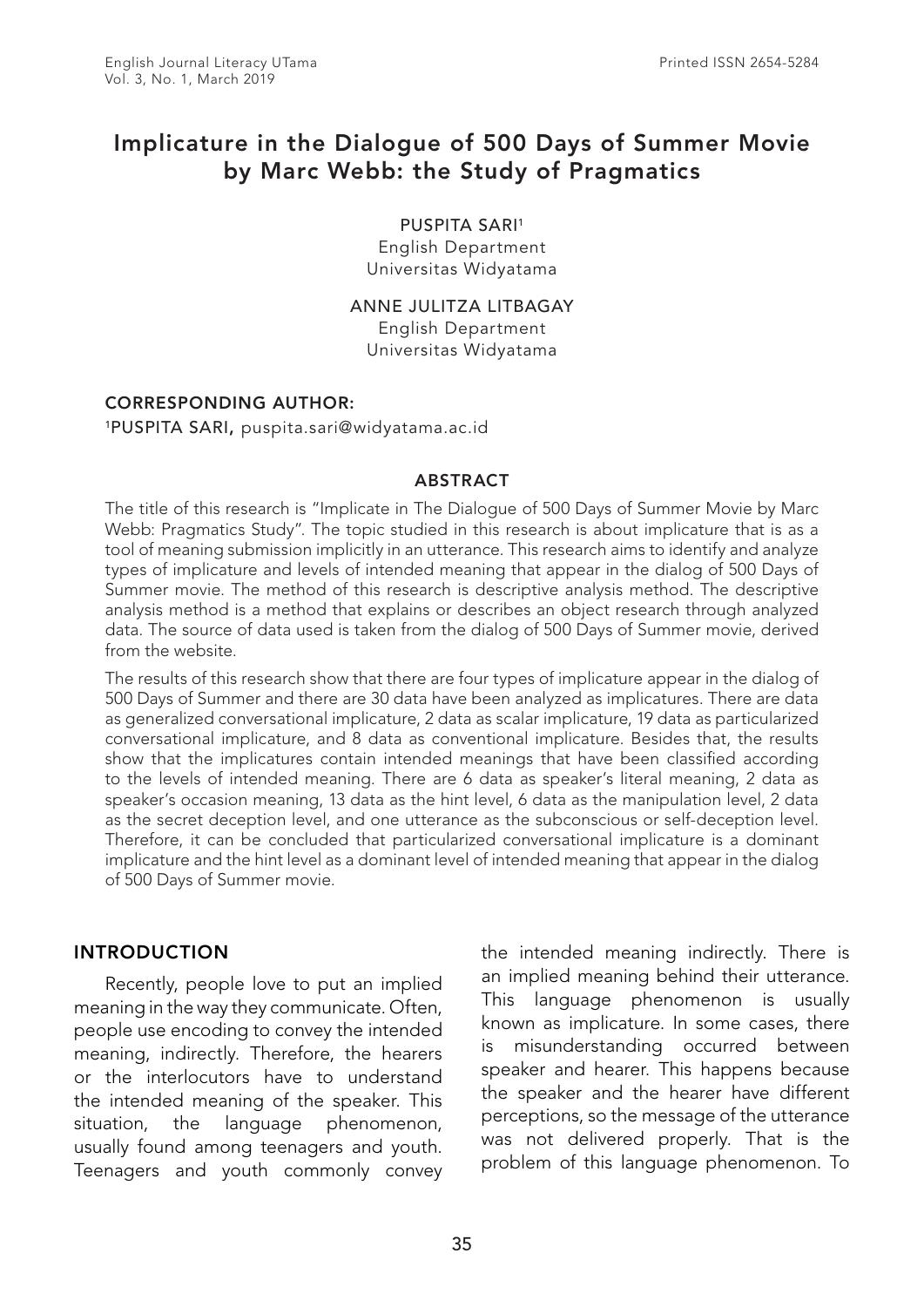# Implicature in the Dialogue of 500 Days of Summer Movie by Marc Webb: the Study of Pragmatics

#### PUSPITA SARI<sup>1</sup>

English Department Universitas Widyatama

ANNE JULITZA LITBAGAY English Department Universitas Widyatama

#### CORRESPONDING AUTHOR:

1PUSPITA SARI, puspita.sari@widyatama.ac.id

#### ABSTRACT

The title of this research is "Implicate in The Dialogue of 500 Days of Summer Movie by Marc Webb: Pragmatics Study". The topic studied in this research is about implicature that is as a tool of meaning submission implicitly in an utterance. This research aims to identify and analyze types of implicature and levels of intended meaning that appear in the dialog of 500 Days of Summer movie. The method of this research is descriptive analysis method. The descriptive analysis method is a method that explains or describes an object research through analyzed data. The source of data used is taken from the dialog of 500 Days of Summer movie, derived from the website.

The results of this research show that there are four types of implicature appear in the dialog of 500 Days of Summer and there are 30 data have been analyzed as implicatures. There are data as generalized conversational implicature, 2 data as scalar implicature, 19 data as particularized conversational implicature, and 8 data as conventional implicature. Besides that, the results show that the implicatures contain intended meanings that have been classified according to the levels of intended meaning. There are 6 data as speaker's literal meaning, 2 data as speaker's occasion meaning, 13 data as the hint level, 6 data as the manipulation level, 2 data as the secret deception level, and one utterance as the subconscious or self-deception level. Therefore, it can be concluded that particularized conversational implicature is a dominant implicature and the hint level as a dominant level of intended meaning that appear in the dialog of 500 Days of Summer movie.

## INTRODUCTION

Recently, people love to put an implied meaning in the way they communicate. Often, people use encoding to convey the intended meaning, indirectly. Therefore, the hearers or the interlocutors have to understand the intended meaning of the speaker. This situation, the language phenomenon, usually found among teenagers and youth. Teenagers and youth commonly convey the intended meaning indirectly. There is an implied meaning behind their utterance. This language phenomenon is usually known as implicature. In some cases, there is misunderstanding occurred between speaker and hearer. This happens because the speaker and the hearer have different perceptions, so the message of the utterance was not delivered properly. That is the problem of this language phenomenon. To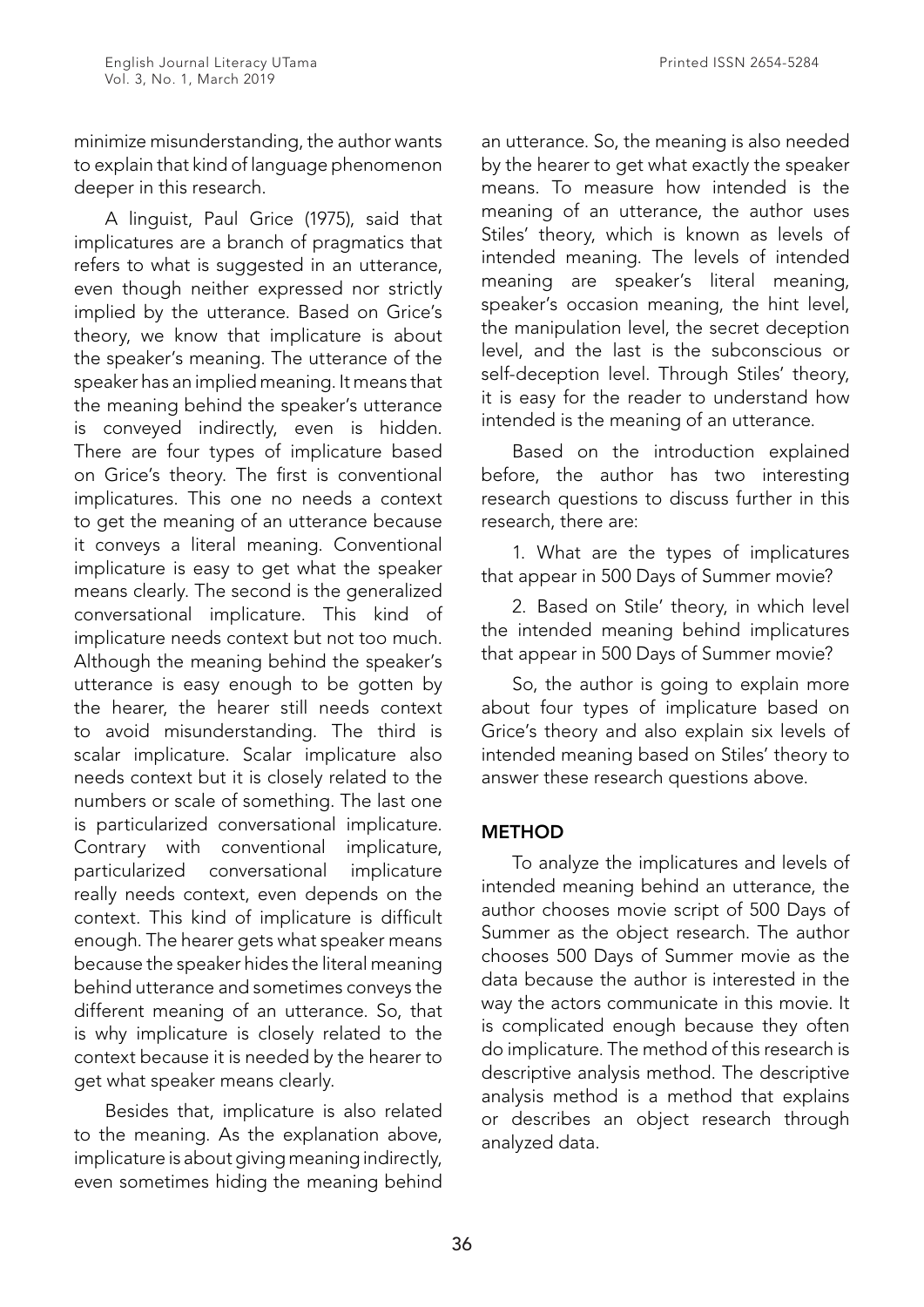minimize misunderstanding, the author wants to explain that kind of language phenomenon deeper in this research.

A linguist, Paul Grice (1975), said that implicatures are a branch of pragmatics that refers to what is suggested in an utterance, even though neither expressed nor strictly implied by the utterance. Based on Grice's theory, we know that implicature is about the speaker's meaning. The utterance of the speaker has an implied meaning. It means that the meaning behind the speaker's utterance is conveyed indirectly, even is hidden. There are four types of implicature based on Grice's theory. The first is conventional implicatures. This one no needs a context to get the meaning of an utterance because it conveys a literal meaning. Conventional implicature is easy to get what the speaker means clearly. The second is the generalized conversational implicature. This kind of implicature needs context but not too much. Although the meaning behind the speaker's utterance is easy enough to be gotten by the hearer, the hearer still needs context to avoid misunderstanding. The third is scalar implicature. Scalar implicature also needs context but it is closely related to the numbers or scale of something. The last one is particularized conversational implicature. Contrary with conventional implicature, particularized conversational implicature really needs context, even depends on the context. This kind of implicature is difficult enough. The hearer gets what speaker means because the speaker hides the literal meaning behind utterance and sometimes conveys the different meaning of an utterance. So, that is why implicature is closely related to the context because it is needed by the hearer to get what speaker means clearly.

Besides that, implicature is also related to the meaning. As the explanation above, implicature is about giving meaning indirectly, even sometimes hiding the meaning behind

an utterance. So, the meaning is also needed by the hearer to get what exactly the speaker means. To measure how intended is the meaning of an utterance, the author uses Stiles' theory, which is known as levels of intended meaning. The levels of intended meaning are speaker's literal meaning, speaker's occasion meaning, the hint level, the manipulation level, the secret deception level, and the last is the subconscious or self-deception level. Through Stiles' theory, it is easy for the reader to understand how intended is the meaning of an utterance.

Based on the introduction explained before, the author has two interesting research questions to discuss further in this research, there are:

1. What are the types of implicatures that appear in 500 Days of Summer movie?

2. Based on Stile' theory, in which level the intended meaning behind implicatures that appear in 500 Days of Summer movie?

So, the author is going to explain more about four types of implicature based on Grice's theory and also explain six levels of intended meaning based on Stiles' theory to answer these research questions above.

## **METHOD**

To analyze the implicatures and levels of intended meaning behind an utterance, the author chooses movie script of 500 Days of Summer as the object research. The author chooses 500 Days of Summer movie as the data because the author is interested in the way the actors communicate in this movie. It is complicated enough because they often do implicature. The method of this research is descriptive analysis method. The descriptive analysis method is a method that explains or describes an object research through analyzed data.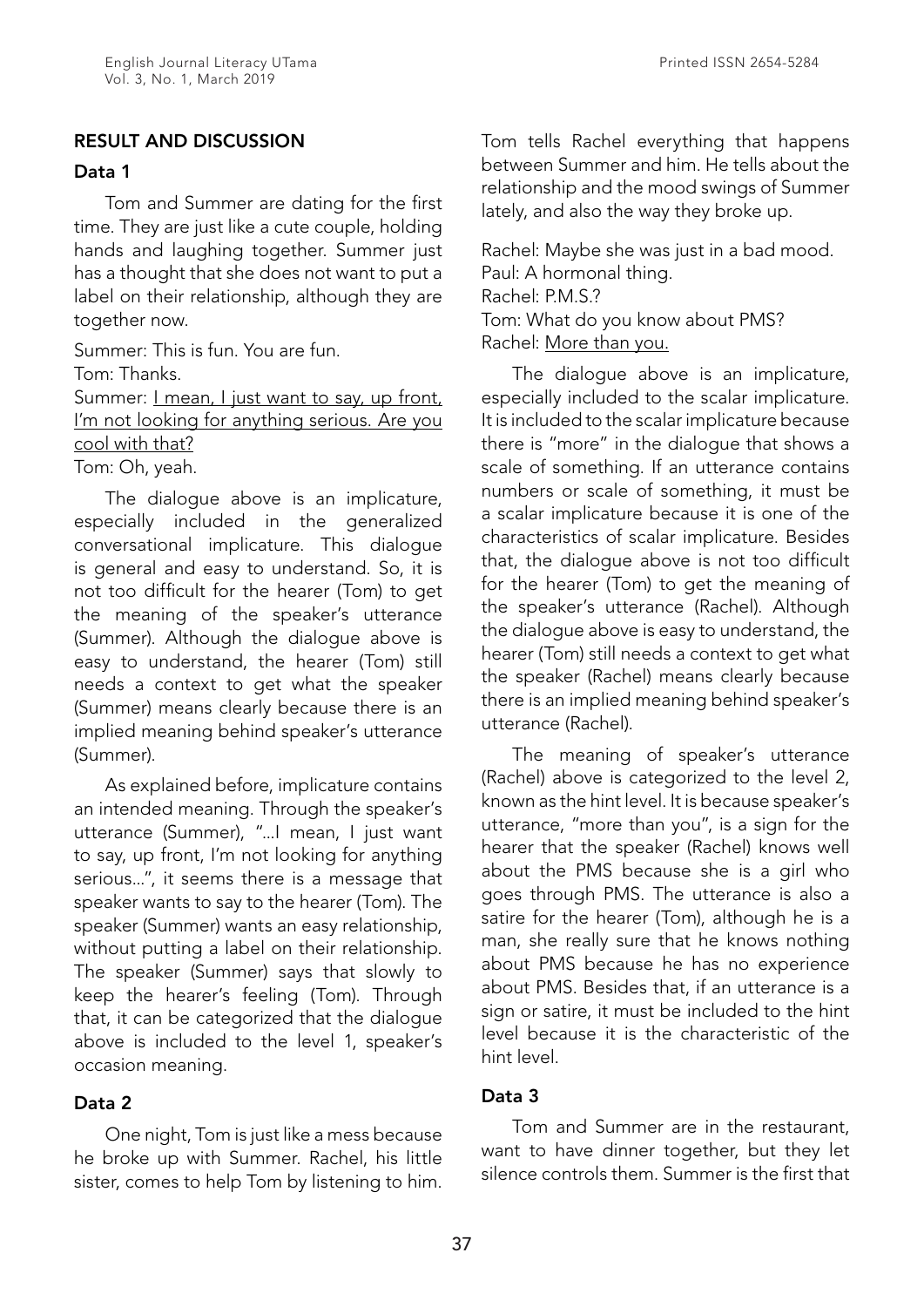## Data 1

Tom and Summer are dating for the first time. They are just like a cute couple, holding hands and laughing together. Summer just has a thought that she does not want to put a label on their relationship, although they are together now.

Summer: This is fun. You are fun. Tom: Thanks. Summer: <u>I mean, I just want to say, up front</u>, I'm not looking for anything serious. Are you

cool with that?

Tom: Oh, yeah.

The dialogue above is an implicature, especially included in the generalized conversational implicature. This dialogue is general and easy to understand. So, it is not too difficult for the hearer (Tom) to get the meaning of the speaker's utterance (Summer). Although the dialogue above is easy to understand, the hearer (Tom) still needs a context to get what the speaker (Summer) means clearly because there is an implied meaning behind speaker's utterance (Summer).

As explained before, implicature contains an intended meaning. Through the speaker's utterance (Summer), "...I mean, I just want to say, up front, I'm not looking for anything serious...", it seems there is a message that speaker wants to say to the hearer (Tom). The speaker (Summer) wants an easy relationship, without putting a label on their relationship. The speaker (Summer) says that slowly to keep the hearer's feeling (Tom). Through that, it can be categorized that the dialogue above is included to the level 1, speaker's occasion meaning.

# Data 2

One night, Tom is just like a mess because he broke up with Summer. Rachel, his little sister, comes to help Tom by listening to him.

Tom tells Rachel everything that happens between Summer and him. He tells about the relationship and the mood swings of Summer lately, and also the way they broke up.

Rachel: Maybe she was just in a bad mood. Paul: A hormonal thing. Rachel: P.M.S.? Tom: What do you know about PMS? Rachel: More than you.

The dialogue above is an implicature, especially included to the scalar implicature. It is included to the scalar implicature because there is "more" in the dialogue that shows a scale of something. If an utterance contains numbers or scale of something, it must be a scalar implicature because it is one of the characteristics of scalar implicature. Besides that, the dialogue above is not too difficult for the hearer (Tom) to get the meaning of the speaker's utterance (Rachel). Although the dialogue above is easy to understand, the hearer (Tom) still needs a context to get what the speaker (Rachel) means clearly because there is an implied meaning behind speaker's utterance (Rachel).

The meaning of speaker's utterance (Rachel) above is categorized to the level 2, known as the hint level. It is because speaker's utterance, "more than you", is a sign for the hearer that the speaker (Rachel) knows well about the PMS because she is a girl who goes through PMS. The utterance is also a satire for the hearer (Tom), although he is a man, she really sure that he knows nothing about PMS because he has no experience about PMS. Besides that, if an utterance is a sign or satire, it must be included to the hint level because it is the characteristic of the hint level.

# Data 3

Tom and Summer are in the restaurant, want to have dinner together, but they let silence controls them. Summer is the first that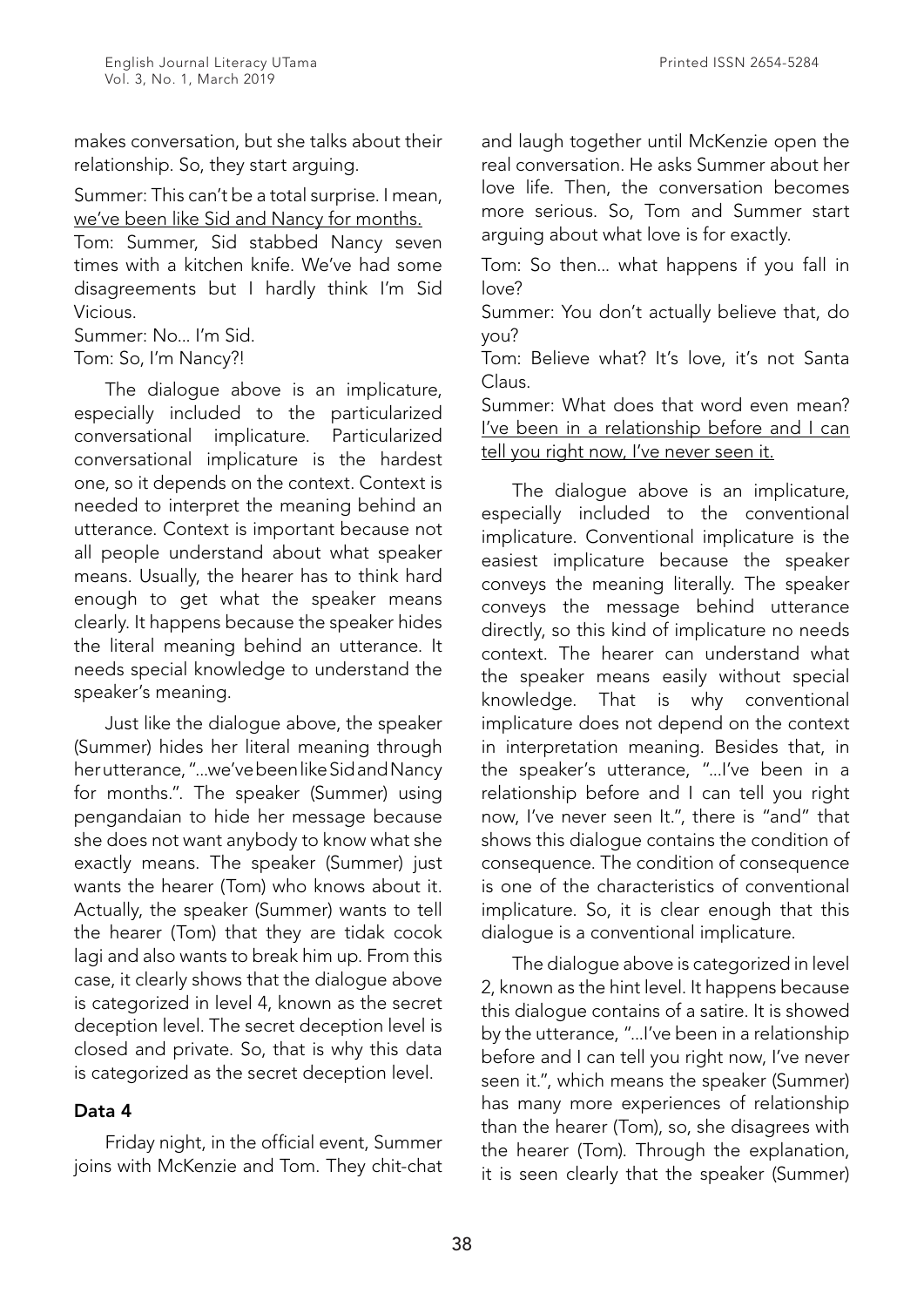makes conversation, but she talks about their relationship. So, they start arguing.

Summer: This can't be a total surprise. I mean, we've been like Sid and Nancy for months.

Tom: Summer, Sid stabbed Nancy seven times with a kitchen knife. We've had some disagreements but I hardly think I'm Sid Vicious.

Summer: No... I'm Sid.

Tom: So, I'm Nancy?!

The dialogue above is an implicature, especially included to the particularized conversational implicature. Particularized conversational implicature is the hardest one, so it depends on the context. Context is needed to interpret the meaning behind an utterance. Context is important because not all people understand about what speaker means. Usually, the hearer has to think hard enough to get what the speaker means clearly. It happens because the speaker hides the literal meaning behind an utterance. It needs special knowledge to understand the speaker's meaning.

Just like the dialogue above, the speaker (Summer) hides her literal meaning through her utterance, "...we've been like Sid and Nancy for months.". The speaker (Summer) using pengandaian to hide her message because she does not want anybody to know what she exactly means. The speaker (Summer) just wants the hearer (Tom) who knows about it. Actually, the speaker (Summer) wants to tell the hearer (Tom) that they are tidak cocok lagi and also wants to break him up. From this case, it clearly shows that the dialogue above is categorized in level 4, known as the secret deception level. The secret deception level is closed and private. So, that is why this data is categorized as the secret deception level.

## Data 4

Friday night, in the official event, Summer joins with McKenzie and Tom. They chit-chat and laugh together until McKenzie open the real conversation. He asks Summer about her love life. Then, the conversation becomes more serious. So, Tom and Summer start arguing about what love is for exactly.

Tom: So then... what happens if you fall in  $\ln 2$ 

Summer: You don't actually believe that, do you?

Tom: Believe what? It's love, it's not Santa Claus.

Summer: What does that word even mean? I've been in a relationship before and I can tell you right now, I've never seen it.

The dialogue above is an implicature, especially included to the conventional implicature. Conventional implicature is the easiest implicature because the speaker conveys the meaning literally. The speaker conveys the message behind utterance directly, so this kind of implicature no needs context. The hearer can understand what the speaker means easily without special knowledge. That is why conventional implicature does not depend on the context in interpretation meaning. Besides that, in the speaker's utterance, "...I've been in a relationship before and I can tell you right now, I've never seen It.", there is "and" that shows this dialogue contains the condition of consequence. The condition of consequence is one of the characteristics of conventional implicature. So, it is clear enough that this dialogue is a conventional implicature.

The dialogue above is categorized in level 2, known as the hint level. It happens because this dialogue contains of a satire. It is showed by the utterance, "...I've been in a relationship before and I can tell you right now, I've never seen it.", which means the speaker (Summer) has many more experiences of relationship than the hearer (Tom), so, she disagrees with the hearer (Tom). Through the explanation, it is seen clearly that the speaker (Summer)